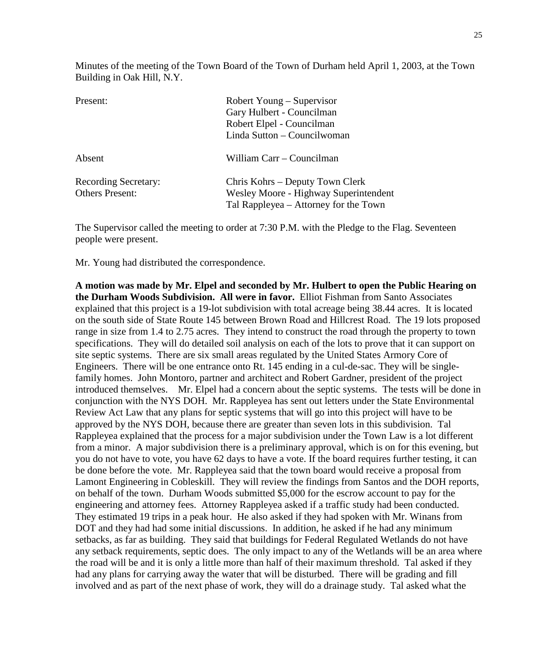Minutes of the meeting of the Town Board of the Town of Durham held April 1, 2003, at the Town Building in Oak Hill, N.Y.

| Present:                                              | Robert Young – Supervisor<br>Gary Hulbert - Councilman<br>Robert Elpel - Councilman<br>Linda Sutton - Councilwoman |
|-------------------------------------------------------|--------------------------------------------------------------------------------------------------------------------|
| Absent                                                | William Carr – Councilman                                                                                          |
| <b>Recording Secretary:</b><br><b>Others Present:</b> | Chris Kohrs – Deputy Town Clerk<br>Wesley Moore - Highway Superintendent<br>Tal Rappleyea – Attorney for the Town  |

The Supervisor called the meeting to order at 7:30 P.M. with the Pledge to the Flag. Seventeen people were present.

Mr. Young had distributed the correspondence.

**A motion was made by Mr. Elpel and seconded by Mr. Hulbert to open the Public Hearing on the Durham Woods Subdivision. All were in favor.** Elliot Fishman from Santo Associates explained that this project is a 19-lot subdivision with total acreage being 38.44 acres. It is located on the south side of State Route 145 between Brown Road and Hillcrest Road. The 19 lots proposed range in size from 1.4 to 2.75 acres. They intend to construct the road through the property to town specifications. They will do detailed soil analysis on each of the lots to prove that it can support on site septic systems. There are six small areas regulated by the United States Armory Core of Engineers. There will be one entrance onto Rt. 145 ending in a cul-de-sac. They will be singlefamily homes. John Montoro, partner and architect and Robert Gardner, president of the project introduced themselves. Mr. Elpel had a concern about the septic systems. The tests will be done in conjunction with the NYS DOH. Mr. Rappleyea has sent out letters under the State Environmental Review Act Law that any plans for septic systems that will go into this project will have to be approved by the NYS DOH, because there are greater than seven lots in this subdivision. Tal Rappleyea explained that the process for a major subdivision under the Town Law is a lot different from a minor. A major subdivision there is a preliminary approval, which is on for this evening, but you do not have to vote, you have 62 days to have a vote. If the board requires further testing, it can be done before the vote. Mr. Rappleyea said that the town board would receive a proposal from Lamont Engineering in Cobleskill. They will review the findings from Santos and the DOH reports, on behalf of the town. Durham Woods submitted \$5,000 for the escrow account to pay for the engineering and attorney fees. Attorney Rappleyea asked if a traffic study had been conducted. They estimated 19 trips in a peak hour. He also asked if they had spoken with Mr. Winans from DOT and they had had some initial discussions. In addition, he asked if he had any minimum setbacks, as far as building. They said that buildings for Federal Regulated Wetlands do not have any setback requirements, septic does. The only impact to any of the Wetlands will be an area where the road will be and it is only a little more than half of their maximum threshold. Tal asked if they had any plans for carrying away the water that will be disturbed. There will be grading and fill involved and as part of the next phase of work, they will do a drainage study. Tal asked what the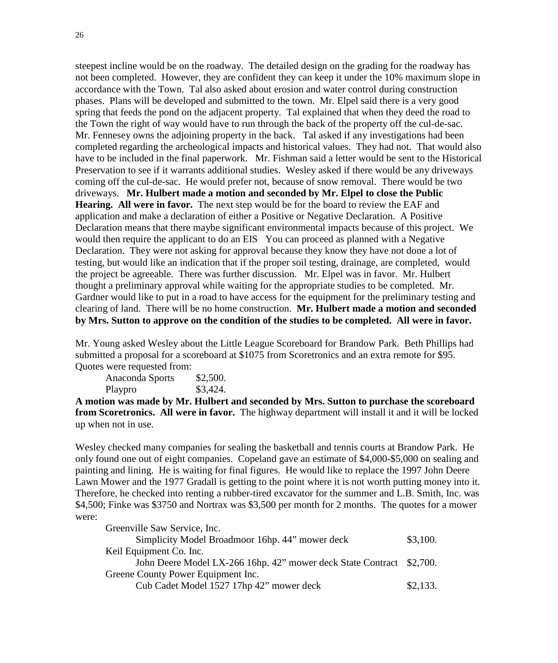steepest incline would be on the roadway. The detailed design on the grading for the roadway has not been completed. However, they are confident they can keep it under the 10% maximum slope in accordance with the Town. Tal also asked about erosion and water control during construction phases. Plans will be developed and submitted to the town. Mr. Elpel said there is a very good spring that feeds the pond on the adjacent property. Tal explained that when they deed the road to the Town the right of way would have to run through the back of the property off the cul-de-sac. Mr. Fennesey owns the adjoining property in the back. Tal asked if any investigations had been completed regarding the archeological impacts and historical values. They had not. That would also have to be included in the final paperwork. Mr. Fishman said a letter would be sent to the Historical Preservation to see if it warrants additional studies. Wesley asked if there would be any driveways coming off the cul-de-sac. He would prefer not, because of snow removal. There would be two driveways. **Mr. Hulbert made a motion and seconded by Mr. Elpel to close the Public Hearing. All were in favor.** The next step would be for the board to review the EAF and application and make a declaration of either a Positive or Negative Declaration. A Positive Declaration means that there maybe significant environmental impacts because of this project. We would then require the applicant to do an EIS You can proceed as planned with a Negative Declaration. They were not asking for approval because they know they have not done a lot of testing, but would like an indication that if the proper soil testing, drainage, are completed, would the project be agreeable. There was further discussion. Mr. Elpel was in favor. Mr. Hulbert thought a preliminary approval while waiting for the appropriate studies to be completed. Mr. Gardner would like to put in a road to have access for the equipment for the preliminary testing and clearing of land. There will be no home construction. **Mr. Hulbert made a motion and seconded by Mrs. Sutton to approve on the condition of the studies to be completed. All were in favor.**

Mr. Young asked Wesley about the Little League Scoreboard for Brandow Park. Beth Phillips had submitted a proposal for a scoreboard at \$1075 from Scoretronics and an extra remote for \$95. Quotes were requested from:

Anaconda Sports \$2,500. Playpro \$3,424.

**A motion was made by Mr. Hulbert and seconded by Mrs. Sutton to purchase the scoreboard from Scoretronics. All were in favor.** The highway department will install it and it will be locked up when not in use.

Wesley checked many companies for sealing the basketball and tennis courts at Brandow Park. He only found one out of eight companies. Copeland gave an estimate of \$4,000-\$5,000 on sealing and painting and lining. He is waiting for final figures. He would like to replace the 1997 John Deere Lawn Mower and the 1977 Gradall is getting to the point where it is not worth putting money into it. Therefore, he checked into renting a rubber-tired excavator for the summer and L.B. Smith, Inc. was \$4,500; Finke was \$3750 and Nortrax was \$3,500 per month for 2 months. The quotes for a mower were:

| Greenville Saw Service, Inc.                                         |          |
|----------------------------------------------------------------------|----------|
| Simplicity Model Broadmoor 16hp. 44" mower deck                      | \$3,100. |
| Keil Equipment Co. Inc.                                              |          |
| John Deere Model LX-266 16hp. 42" mower deck State Contract \$2,700. |          |
| Greene County Power Equipment Inc.                                   |          |
| Cub Cadet Model 1527 17hp 42" mower deck                             | \$2,133. |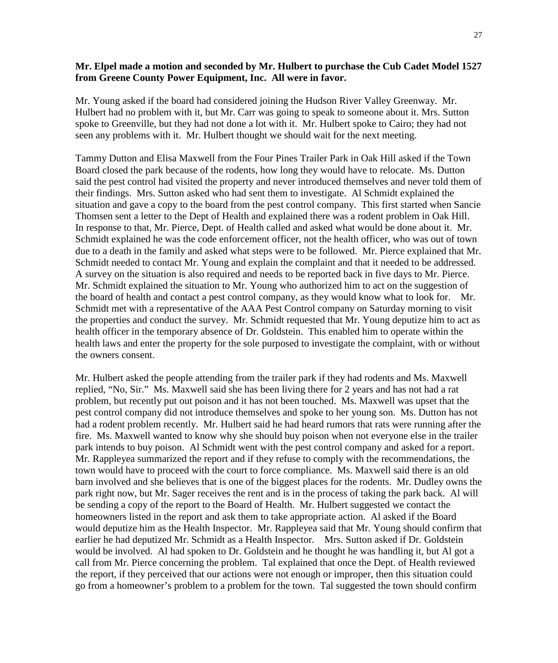#### **Mr. Elpel made a motion and seconded by Mr. Hulbert to purchase the Cub Cadet Model 1527 from Greene County Power Equipment, Inc. All were in favor.**

Mr. Young asked if the board had considered joining the Hudson River Valley Greenway. Mr. Hulbert had no problem with it, but Mr. Carr was going to speak to someone about it. Mrs. Sutton spoke to Greenville, but they had not done a lot with it. Mr. Hulbert spoke to Cairo; they had not seen any problems with it. Mr. Hulbert thought we should wait for the next meeting.

Tammy Dutton and Elisa Maxwell from the Four Pines Trailer Park in Oak Hill asked if the Town Board closed the park because of the rodents, how long they would have to relocate. Ms. Dutton said the pest control had visited the property and never introduced themselves and never told them of their findings. Mrs. Sutton asked who had sent them to investigate. Al Schmidt explained the situation and gave a copy to the board from the pest control company. This first started when Sancie Thomsen sent a letter to the Dept of Health and explained there was a rodent problem in Oak Hill. In response to that, Mr. Pierce, Dept. of Health called and asked what would be done about it. Mr. Schmidt explained he was the code enforcement officer, not the health officer, who was out of town due to a death in the family and asked what steps were to be followed. Mr. Pierce explained that Mr. Schmidt needed to contact Mr. Young and explain the complaint and that it needed to be addressed. A survey on the situation is also required and needs to be reported back in five days to Mr. Pierce. Mr. Schmidt explained the situation to Mr. Young who authorized him to act on the suggestion of the board of health and contact a pest control company, as they would know what to look for. Mr. Schmidt met with a representative of the AAA Pest Control company on Saturday morning to visit the properties and conduct the survey. Mr. Schmidt requested that Mr. Young deputize him to act as health officer in the temporary absence of Dr. Goldstein. This enabled him to operate within the health laws and enter the property for the sole purposed to investigate the complaint, with or without the owners consent.

Mr. Hulbert asked the people attending from the trailer park if they had rodents and Ms. Maxwell replied, "No, Sir." Ms. Maxwell said she has been living there for 2 years and has not had a rat problem, but recently put out poison and it has not been touched. Ms. Maxwell was upset that the pest control company did not introduce themselves and spoke to her young son. Ms. Dutton has not had a rodent problem recently. Mr. Hulbert said he had heard rumors that rats were running after the fire. Ms. Maxwell wanted to know why she should buy poison when not everyone else in the trailer park intends to buy poison. Al Schmidt went with the pest control company and asked for a report. Mr. Rappleyea summarized the report and if they refuse to comply with the recommendations, the town would have to proceed with the court to force compliance. Ms. Maxwell said there is an old barn involved and she believes that is one of the biggest places for the rodents. Mr. Dudley owns the park right now, but Mr. Sager receives the rent and is in the process of taking the park back. Al will be sending a copy of the report to the Board of Health. Mr. Hulbert suggested we contact the homeowners listed in the report and ask them to take appropriate action. Al asked if the Board would deputize him as the Health Inspector. Mr. Rappleyea said that Mr. Young should confirm that earlier he had deputized Mr. Schmidt as a Health Inspector. Mrs. Sutton asked if Dr. Goldstein would be involved. Al had spoken to Dr. Goldstein and he thought he was handling it, but Al got a call from Mr. Pierce concerning the problem. Tal explained that once the Dept. of Health reviewed the report, if they perceived that our actions were not enough or improper, then this situation could go from a homeowner's problem to a problem for the town. Tal suggested the town should confirm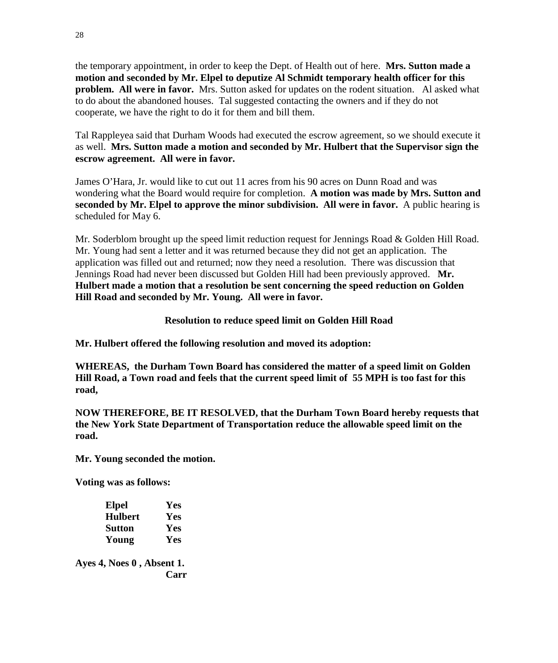the temporary appointment, in order to keep the Dept. of Health out of here. **Mrs. Sutton made a motion and seconded by Mr. Elpel to deputize Al Schmidt temporary health officer for this problem. All were in favor.** Mrs. Sutton asked for updates on the rodent situation. Al asked what to do about the abandoned houses. Tal suggested contacting the owners and if they do not cooperate, we have the right to do it for them and bill them.

Tal Rappleyea said that Durham Woods had executed the escrow agreement, so we should execute it as well. **Mrs. Sutton made a motion and seconded by Mr. Hulbert that the Supervisor sign the escrow agreement. All were in favor.** 

James O'Hara, Jr. would like to cut out 11 acres from his 90 acres on Dunn Road and was wondering what the Board would require for completion. **A motion was made by Mrs. Sutton and seconded by Mr. Elpel to approve the minor subdivision. All were in favor.** A public hearing is scheduled for May 6.

Mr. Soderblom brought up the speed limit reduction request for Jennings Road & Golden Hill Road. Mr. Young had sent a letter and it was returned because they did not get an application. The application was filled out and returned; now they need a resolution. There was discussion that Jennings Road had never been discussed but Golden Hill had been previously approved. **Mr. Hulbert made a motion that a resolution be sent concerning the speed reduction on Golden Hill Road and seconded by Mr. Young. All were in favor.** 

# **Resolution to reduce speed limit on Golden Hill Road**

**Mr. Hulbert offered the following resolution and moved its adoption:**

**WHEREAS, the Durham Town Board has considered the matter of a speed limit on Golden Hill Road, a Town road and feels that the current speed limit of 55 MPH is too fast for this road,** 

**NOW THEREFORE, BE IT RESOLVED, that the Durham Town Board hereby requests that the New York State Department of Transportation reduce the allowable speed limit on the road.**

**Mr. Young seconded the motion.**

**Voting was as follows:**

| <b>Elpel</b>   | Yes |
|----------------|-----|
| <b>Hulbert</b> | Yes |
| <b>Sutton</b>  | Yes |
| Young          | Yes |

**Ayes 4, Noes 0 , Absent 1. Carr**